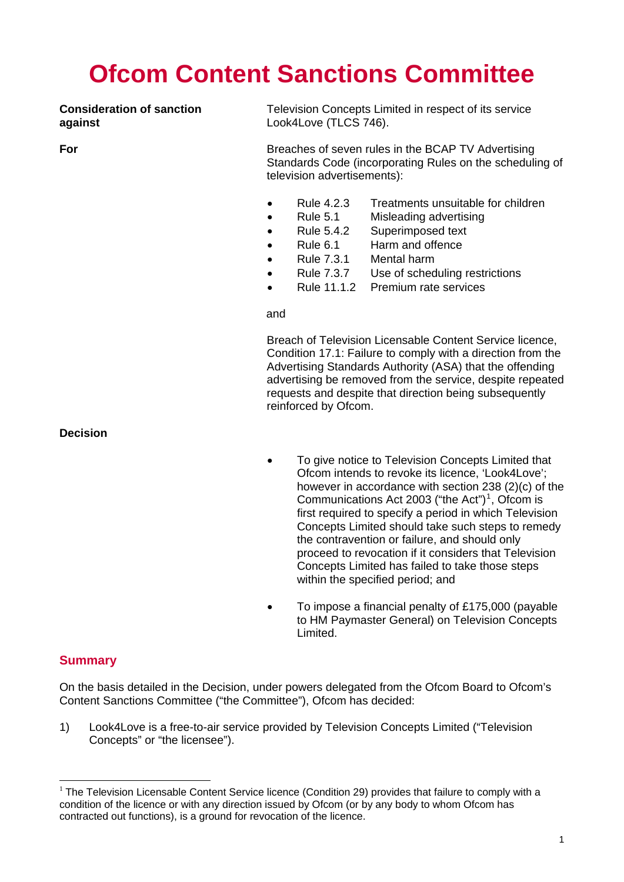# **Ofcom Content Sanctions Committee**

**against** Look4Love (TLCS 746).

**Consideration of sanction** Television Concepts Limited in respect of its service

**For** Breaches of seven rules in the BCAP TV Advertising Standards Code (incorporating Rules on the scheduling of television advertisements):

- Rule 4.2.3 Treatments unsuitable for children
- Rule 5.1 Misleading advertising
- Rule 5.4.2 Superimposed text
- Rule 6.1 Harm and offence
- Rule 7.3.1 Mental harm
- Rule 7.3.7 Use of scheduling restrictions
- Rule 11.1.2 Premium rate services

#### and

Breach of Television Licensable Content Service licence, Condition 17.1: Failure to comply with a direction from the Advertising Standards Authority (ASA) that the offending advertising be removed from the service, despite repeated requests and despite that direction being subsequently reinforced by Ofcom.

**Decision** 

- To give notice to Television Concepts Limited that Ofcom intends to revoke its licence, 'Look4Love'; however in accordance with section 238 (2)(c) of the Communications Act 2003 ("the Act")<sup>[1](#page-0-0)</sup>, Ofcom is first required to specify a period in which Television Concepts Limited should take such steps to remedy the contravention or failure, and should only proceed to revocation if it considers that Television Concepts Limited has failed to take those steps within the specified period; and
- To impose a financial penalty of £175,000 (payable to HM Paymaster General) on Television Concepts Limited.

# **Summary**

 $\overline{a}$ 

On the basis detailed in the Decision, under powers delegated from the Ofcom Board to Ofcom's Content Sanctions Committee ("the Committee"), Ofcom has decided:

1) Look4Love is a free-to-air service provided by Television Concepts Limited ("Television Concepts" or "the licensee").

<span id="page-0-0"></span> $1$  The Television Licensable Content Service licence (Condition 29) provides that failure to comply with a condition of the licence or with any direction issued by Ofcom (or by any body to whom Ofcom has contracted out functions), is a ground for revocation of the licence.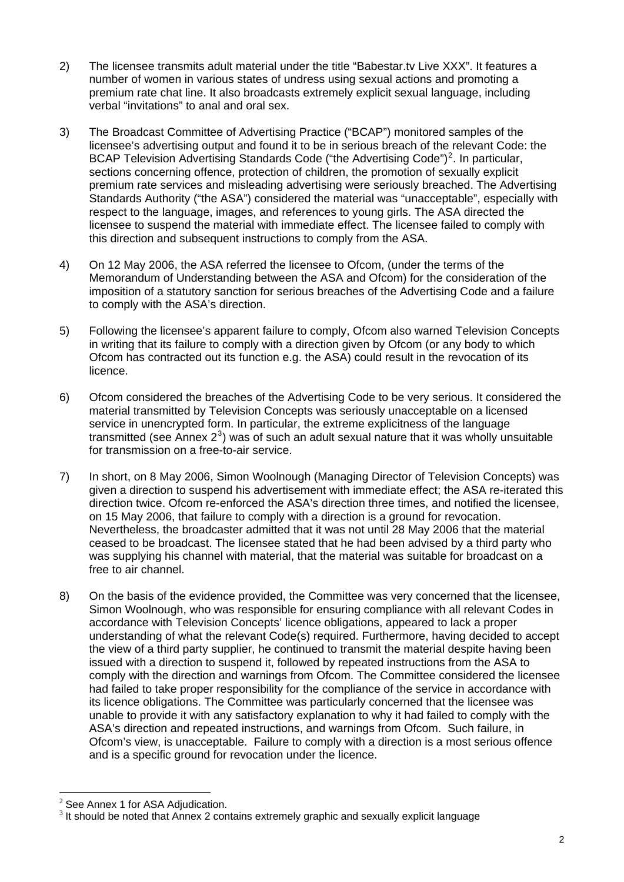- 2) The licensee transmits adult material under the title "Babestar.tv Live XXX". It features a number of women in various states of undress using sexual actions and promoting a premium rate chat line. It also broadcasts extremely explicit sexual language, including verbal "invitations" to anal and oral sex.
- 3) The Broadcast Committee of Advertising Practice ("BCAP") monitored samples of the licensee's advertising output and found it to be in serious breach of the relevant Code: the BCAP Television Advertising Standards Code ("the Advertising Code")<sup>[2](#page-1-0)</sup>. In particular, sections concerning offence, protection of children, the promotion of sexually explicit premium rate services and misleading advertising were seriously breached. The Advertising Standards Authority ("the ASA") considered the material was "unacceptable", especially with respect to the language, images, and references to young girls. The ASA directed the licensee to suspend the material with immediate effect. The licensee failed to comply with this direction and subsequent instructions to comply from the ASA.
- 4) On 12 May 2006, the ASA referred the licensee to Ofcom, (under the terms of the Memorandum of Understanding between the ASA and Ofcom) for the consideration of the imposition of a statutory sanction for serious breaches of the Advertising Code and a failure to comply with the ASA's direction.
- 5) Following the licensee's apparent failure to comply, Ofcom also warned Television Concepts in writing that its failure to comply with a direction given by Ofcom (or any body to which Ofcom has contracted out its function e.g. the ASA) could result in the revocation of its licence.
- 6) Ofcom considered the breaches of the Advertising Code to be very serious. It considered the material transmitted by Television Concepts was seriously unacceptable on a licensed service in unencrypted form. In particular, the extreme explicitness of the language transmitted (see Annex  $2^3$  $2^3$ ) was of such an adult sexual nature that it was wholly unsuitable for transmission on a free-to-air service.
- 7) In short, on 8 May 2006, Simon Woolnough (Managing Director of Television Concepts) was given a direction to suspend his advertisement with immediate effect; the ASA re-iterated this direction twice. Ofcom re-enforced the ASA's direction three times, and notified the licensee, on 15 May 2006, that failure to comply with a direction is a ground for revocation. Nevertheless, the broadcaster admitted that it was not until 28 May 2006 that the material ceased to be broadcast. The licensee stated that he had been advised by a third party who was supplying his channel with material, that the material was suitable for broadcast on a free to air channel.
- 8) On the basis of the evidence provided, the Committee was very concerned that the licensee, Simon Woolnough, who was responsible for ensuring compliance with all relevant Codes in accordance with Television Concepts' licence obligations, appeared to lack a proper understanding of what the relevant Code(s) required. Furthermore, having decided to accept the view of a third party supplier, he continued to transmit the material despite having been issued with a direction to suspend it, followed by repeated instructions from the ASA to comply with the direction and warnings from Ofcom. The Committee considered the licensee had failed to take proper responsibility for the compliance of the service in accordance with its licence obligations. The Committee was particularly concerned that the licensee was unable to provide it with any satisfactory explanation to why it had failed to comply with the ASA's direction and repeated instructions, and warnings from Ofcom. Such failure, in Ofcom's view, is unacceptable. Failure to comply with a direction is a most serious offence and is a specific ground for revocation under the licence.

 $\overline{a}$ 

<span id="page-1-0"></span> $2$  See Annex 1 for ASA Adjudication.

<span id="page-1-1"></span><sup>&</sup>lt;sup>3</sup> It should be noted that Annex 2 contains extremely graphic and sexually explicit language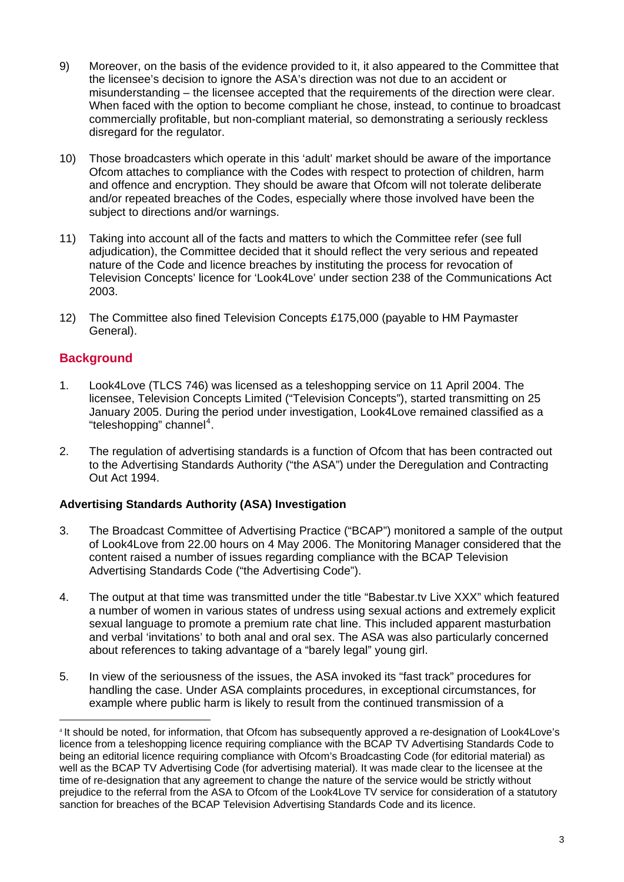- 9) Moreover, on the basis of the evidence provided to it, it also appeared to the Committee that the licensee's decision to ignore the ASA's direction was not due to an accident or misunderstanding – the licensee accepted that the requirements of the direction were clear. When faced with the option to become compliant he chose, instead, to continue to broadcast commercially profitable, but non-compliant material, so demonstrating a seriously reckless disregard for the regulator.
- 10) Those broadcasters which operate in this 'adult' market should be aware of the importance Ofcom attaches to compliance with the Codes with respect to protection of children, harm and offence and encryption. They should be aware that Ofcom will not tolerate deliberate and/or repeated breaches of the Codes, especially where those involved have been the subject to directions and/or warnings.
- 11) Taking into account all of the facts and matters to which the Committee refer (see full adjudication), the Committee decided that it should reflect the very serious and repeated nature of the Code and licence breaches by instituting the process for revocation of Television Concepts' licence for 'Look4Love' under section 238 of the Communications Act 2003.
- 12) The Committee also fined Television Concepts £175,000 (payable to HM Paymaster General).

# **Background**

 $\overline{a}$ 

- 1. Look4Love (TLCS 746) was licensed as a teleshopping service on 11 April 2004. The licensee, Television Concepts Limited ("Television Concepts"), started transmitting on 25 January 2005. During the period under investigation, Look4Love remained classified as a "teleshopping" channel<sup>[4](#page-2-0)</sup>.
- 2. The regulation of advertising standards is a function of Ofcom that has been contracted out to the Advertising Standards Authority ("the ASA") under the Deregulation and Contracting Out Act 1994.

# **Advertising Standards Authority (ASA) Investigation**

- 3. The Broadcast Committee of Advertising Practice ("BCAP") monitored a sample of the output of Look4Love from 22.00 hours on 4 May 2006. The Monitoring Manager considered that the content raised a number of issues regarding compliance with the BCAP Television Advertising Standards Code ("the Advertising Code").
- 4. The output at that time was transmitted under the title "Babestar.tv Live XXX" which featured a number of women in various states of undress using sexual actions and extremely explicit sexual language to promote a premium rate chat line. This included apparent masturbation and verbal 'invitations' to both anal and oral sex. The ASA was also particularly concerned about references to taking advantage of a "barely legal" young girl.
- 5. In view of the seriousness of the issues, the ASA invoked its "fast track" procedures for handling the case. Under ASA complaints procedures, in exceptional circumstances, for example where public harm is likely to result from the continued transmission of a

<span id="page-2-0"></span><sup>4</sup> It should be noted, for information, that Ofcom has subsequently approved a re-designation of Look4Love's licence from a teleshopping licence requiring compliance with the BCAP TV Advertising Standards Code to being an editorial licence requiring compliance with Ofcom's Broadcasting Code (for editorial material) as well as the BCAP TV Advertising Code (for advertising material). It was made clear to the licensee at the time of re-designation that any agreement to change the nature of the service would be strictly without prejudice to the referral from the ASA to Ofcom of the Look4Love TV service for consideration of a statutory sanction for breaches of the BCAP Television Advertising Standards Code and its licence.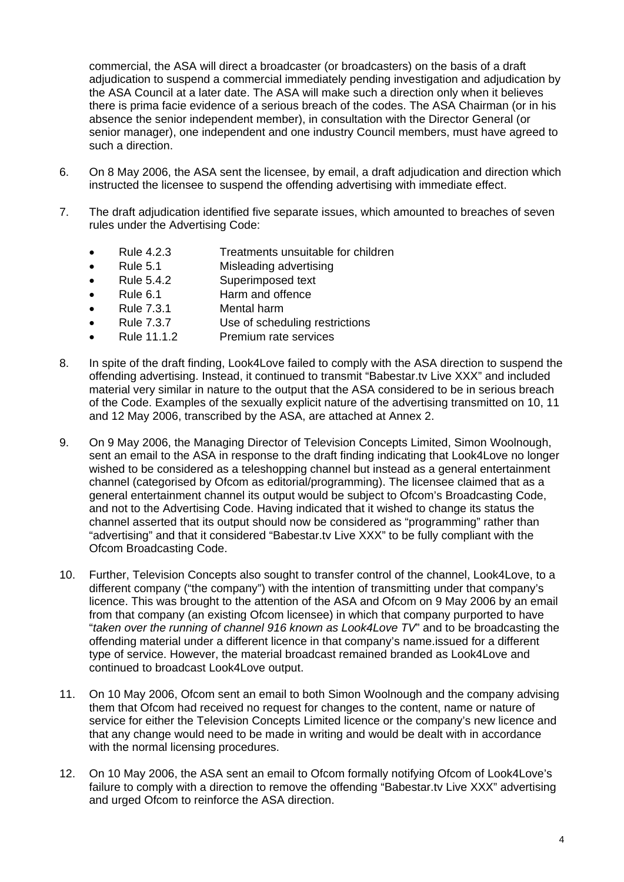commercial, the ASA will direct a broadcaster (or broadcasters) on the basis of a draft adjudication to suspend a commercial immediately pending investigation and adjudication by the ASA Council at a later date. The ASA will make such a direction only when it believes there is prima facie evidence of a serious breach of the codes. The ASA Chairman (or in his absence the senior independent member), in consultation with the Director General (or senior manager), one independent and one industry Council members, must have agreed to such a direction.

- 6. On 8 May 2006, the ASA sent the licensee, by email, a draft adjudication and direction which instructed the licensee to suspend the offending advertising with immediate effect.
- 7. The draft adjudication identified five separate issues, which amounted to breaches of seven rules under the Advertising Code:
	- Rule 4.2.3 Treatments unsuitable for children
	- Rule 5.1 Misleading advertising
	- Rule 5.4.2 Superimposed text
	- Rule 6.1 Harm and offence
	- Rule 7.3.1 Mental harm
	- Rule 7.3.7 Use of scheduling restrictions
	- Rule 11.1.2 Premium rate services
- 8. In spite of the draft finding, Look4Love failed to comply with the ASA direction to suspend the offending advertising. Instead, it continued to transmit "Babestar.tv Live XXX" and included material very similar in nature to the output that the ASA considered to be in serious breach of the Code. Examples of the sexually explicit nature of the advertising transmitted on 10, 11 and 12 May 2006, transcribed by the ASA, are attached at Annex 2.
- 9. On 9 May 2006, the Managing Director of Television Concepts Limited, Simon Woolnough, sent an email to the ASA in response to the draft finding indicating that Look4Love no longer wished to be considered as a teleshopping channel but instead as a general entertainment channel (categorised by Ofcom as editorial/programming). The licensee claimed that as a general entertainment channel its output would be subject to Ofcom's Broadcasting Code, and not to the Advertising Code. Having indicated that it wished to change its status the channel asserted that its output should now be considered as "programming" rather than "advertising" and that it considered "Babestar.tv Live XXX" to be fully compliant with the Ofcom Broadcasting Code.
- 10. Further, Television Concepts also sought to transfer control of the channel, Look4Love, to a different company ("the company") with the intention of transmitting under that company's licence. This was brought to the attention of the ASA and Ofcom on 9 May 2006 by an email from that company (an existing Ofcom licensee) in which that company purported to have "*taken over the running of channel 916 known as Look4Love TV*" and to be broadcasting the offending material under a different licence in that company's name.issued for a different type of service. However, the material broadcast remained branded as Look4Love and continued to broadcast Look4Love output.
- 11. On 10 May 2006, Ofcom sent an email to both Simon Woolnough and the company advising them that Ofcom had received no request for changes to the content, name or nature of service for either the Television Concepts Limited licence or the company's new licence and that any change would need to be made in writing and would be dealt with in accordance with the normal licensing procedures.
- 12. On 10 May 2006, the ASA sent an email to Ofcom formally notifying Ofcom of Look4Love's failure to comply with a direction to remove the offending "Babestar.tv Live XXX" advertising and urged Ofcom to reinforce the ASA direction.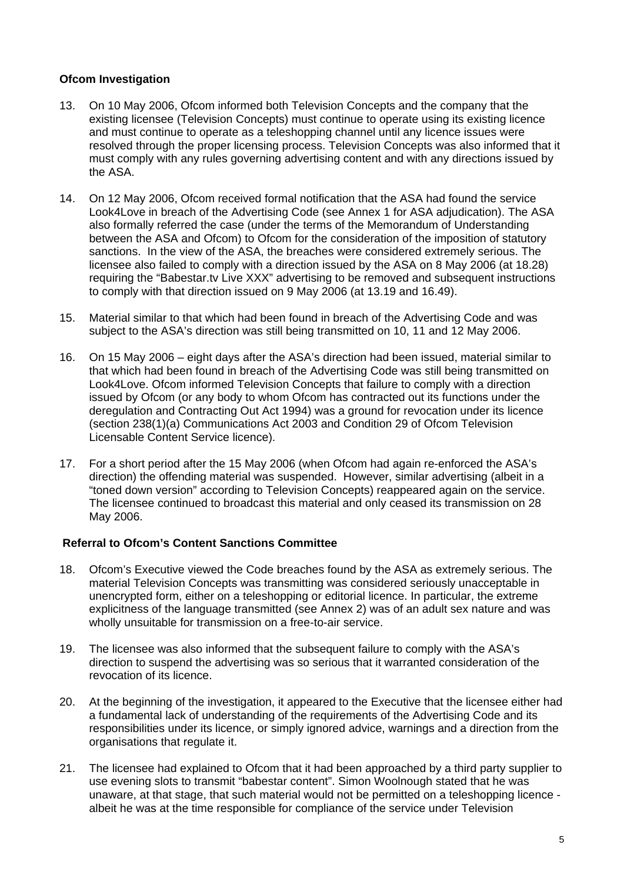# **Ofcom Investigation**

- 13. On 10 May 2006, Ofcom informed both Television Concepts and the company that the existing licensee (Television Concepts) must continue to operate using its existing licence and must continue to operate as a teleshopping channel until any licence issues were resolved through the proper licensing process. Television Concepts was also informed that it must comply with any rules governing advertising content and with any directions issued by the ASA.
- 14. On 12 May 2006, Ofcom received formal notification that the ASA had found the service Look4Love in breach of the Advertising Code (see Annex 1 for ASA adjudication). The ASA also formally referred the case (under the terms of the Memorandum of Understanding between the ASA and Ofcom) to Ofcom for the consideration of the imposition of statutory sanctions. In the view of the ASA, the breaches were considered extremely serious. The licensee also failed to comply with a direction issued by the ASA on 8 May 2006 (at 18.28) requiring the "Babestar.tv Live XXX" advertising to be removed and subsequent instructions to comply with that direction issued on 9 May 2006 (at 13.19 and 16.49).
- 15. Material similar to that which had been found in breach of the Advertising Code and was subject to the ASA's direction was still being transmitted on 10, 11 and 12 May 2006.
- 16. On 15 May 2006 eight days after the ASA's direction had been issued, material similar to that which had been found in breach of the Advertising Code was still being transmitted on Look4Love. Ofcom informed Television Concepts that failure to comply with a direction issued by Ofcom (or any body to whom Ofcom has contracted out its functions under the deregulation and Contracting Out Act 1994) was a ground for revocation under its licence (section 238(1)(a) Communications Act 2003 and Condition 29 of Ofcom Television Licensable Content Service licence).
- 17. For a short period after the 15 May 2006 (when Ofcom had again re-enforced the ASA's direction) the offending material was suspended. However, similar advertising (albeit in a "toned down version" according to Television Concepts) reappeared again on the service. The licensee continued to broadcast this material and only ceased its transmission on 28 May 2006.

# **Referral to Ofcom's Content Sanctions Committee**

- 18. Ofcom's Executive viewed the Code breaches found by the ASA as extremely serious. The material Television Concepts was transmitting was considered seriously unacceptable in unencrypted form, either on a teleshopping or editorial licence. In particular, the extreme explicitness of the language transmitted (see Annex 2) was of an adult sex nature and was wholly unsuitable for transmission on a free-to-air service.
- 19. The licensee was also informed that the subsequent failure to comply with the ASA's direction to suspend the advertising was so serious that it warranted consideration of the revocation of its licence.
- 20. At the beginning of the investigation, it appeared to the Executive that the licensee either had a fundamental lack of understanding of the requirements of the Advertising Code and its responsibilities under its licence, or simply ignored advice, warnings and a direction from the organisations that regulate it.
- 21. The licensee had explained to Ofcom that it had been approached by a third party supplier to use evening slots to transmit "babestar content". Simon Woolnough stated that he was unaware, at that stage, that such material would not be permitted on a teleshopping licence albeit he was at the time responsible for compliance of the service under Television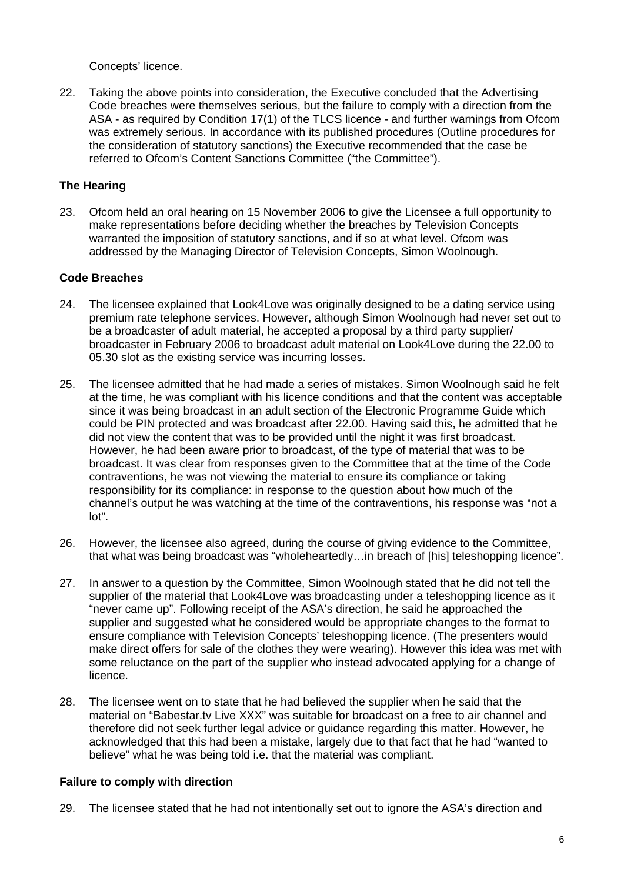Concepts' licence.

22. Taking the above points into consideration, the Executive concluded that the Advertising Code breaches were themselves serious, but the failure to comply with a direction from the ASA - as required by Condition 17(1) of the TLCS licence - and further warnings from Ofcom was extremely serious. In accordance with its published procedures (Outline procedures for the consideration of statutory sanctions) the Executive recommended that the case be referred to Ofcom's Content Sanctions Committee ("the Committee").

# **The Hearing**

23. Ofcom held an oral hearing on 15 November 2006 to give the Licensee a full opportunity to make representations before deciding whether the breaches by Television Concepts warranted the imposition of statutory sanctions, and if so at what level. Ofcom was addressed by the Managing Director of Television Concepts, Simon Woolnough.

# **Code Breaches**

- 24. The licensee explained that Look4Love was originally designed to be a dating service using premium rate telephone services. However, although Simon Woolnough had never set out to be a broadcaster of adult material, he accepted a proposal by a third party supplier/ broadcaster in February 2006 to broadcast adult material on Look4Love during the 22.00 to 05.30 slot as the existing service was incurring losses.
- 25. The licensee admitted that he had made a series of mistakes. Simon Woolnough said he felt at the time, he was compliant with his licence conditions and that the content was acceptable since it was being broadcast in an adult section of the Electronic Programme Guide which could be PIN protected and was broadcast after 22.00. Having said this, he admitted that he did not view the content that was to be provided until the night it was first broadcast. However, he had been aware prior to broadcast, of the type of material that was to be broadcast. It was clear from responses given to the Committee that at the time of the Code contraventions, he was not viewing the material to ensure its compliance or taking responsibility for its compliance: in response to the question about how much of the channel's output he was watching at the time of the contraventions, his response was "not a lot".
- 26. However, the licensee also agreed, during the course of giving evidence to the Committee, that what was being broadcast was "wholeheartedly…in breach of [his] teleshopping licence".
- 27. In answer to a question by the Committee, Simon Woolnough stated that he did not tell the supplier of the material that Look4Love was broadcasting under a teleshopping licence as it "never came up". Following receipt of the ASA's direction, he said he approached the supplier and suggested what he considered would be appropriate changes to the format to ensure compliance with Television Concepts' teleshopping licence. (The presenters would make direct offers for sale of the clothes they were wearing). However this idea was met with some reluctance on the part of the supplier who instead advocated applying for a change of licence.
- 28. The licensee went on to state that he had believed the supplier when he said that the material on "Babestar.tv Live XXX" was suitable for broadcast on a free to air channel and therefore did not seek further legal advice or guidance regarding this matter. However, he acknowledged that this had been a mistake, largely due to that fact that he had "wanted to believe" what he was being told i.e. that the material was compliant.

# **Failure to comply with direction**

29. The licensee stated that he had not intentionally set out to ignore the ASA's direction and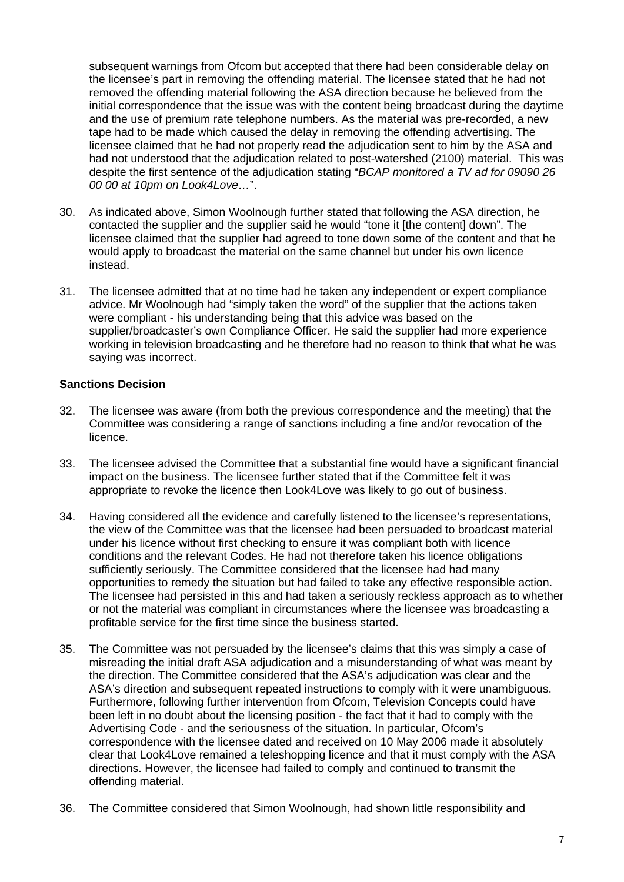subsequent warnings from Ofcom but accepted that there had been considerable delay on the licensee's part in removing the offending material. The licensee stated that he had not removed the offending material following the ASA direction because he believed from the initial correspondence that the issue was with the content being broadcast during the daytime and the use of premium rate telephone numbers. As the material was pre-recorded, a new tape had to be made which caused the delay in removing the offending advertising. The licensee claimed that he had not properly read the adjudication sent to him by the ASA and had not understood that the adjudication related to post-watershed (2100) material. This was despite the first sentence of the adjudication stating "*BCAP monitored a TV ad for 09090 26 00 00 at 10pm on Look4Love…*".

- 30. As indicated above, Simon Woolnough further stated that following the ASA direction, he contacted the supplier and the supplier said he would "tone it [the content] down". The licensee claimed that the supplier had agreed to tone down some of the content and that he would apply to broadcast the material on the same channel but under his own licence instead.
- 31. The licensee admitted that at no time had he taken any independent or expert compliance advice. Mr Woolnough had "simply taken the word" of the supplier that the actions taken were compliant - his understanding being that this advice was based on the supplier/broadcaster's own Compliance Officer. He said the supplier had more experience working in television broadcasting and he therefore had no reason to think that what he was saying was incorrect.

# **Sanctions Decision**

- 32. The licensee was aware (from both the previous correspondence and the meeting) that the Committee was considering a range of sanctions including a fine and/or revocation of the licence.
- 33. The licensee advised the Committee that a substantial fine would have a significant financial impact on the business. The licensee further stated that if the Committee felt it was appropriate to revoke the licence then Look4Love was likely to go out of business.
- 34. Having considered all the evidence and carefully listened to the licensee's representations, the view of the Committee was that the licensee had been persuaded to broadcast material under his licence without first checking to ensure it was compliant both with licence conditions and the relevant Codes. He had not therefore taken his licence obligations sufficiently seriously. The Committee considered that the licensee had had many opportunities to remedy the situation but had failed to take any effective responsible action. The licensee had persisted in this and had taken a seriously reckless approach as to whether or not the material was compliant in circumstances where the licensee was broadcasting a profitable service for the first time since the business started.
- 35. The Committee was not persuaded by the licensee's claims that this was simply a case of misreading the initial draft ASA adjudication and a misunderstanding of what was meant by the direction. The Committee considered that the ASA's adjudication was clear and the ASA's direction and subsequent repeated instructions to comply with it were unambiguous. Furthermore, following further intervention from Ofcom, Television Concepts could have been left in no doubt about the licensing position - the fact that it had to comply with the Advertising Code - and the seriousness of the situation. In particular, Ofcom's correspondence with the licensee dated and received on 10 May 2006 made it absolutely clear that Look4Love remained a teleshopping licence and that it must comply with the ASA directions. However, the licensee had failed to comply and continued to transmit the offending material.
- 36. The Committee considered that Simon Woolnough, had shown little responsibility and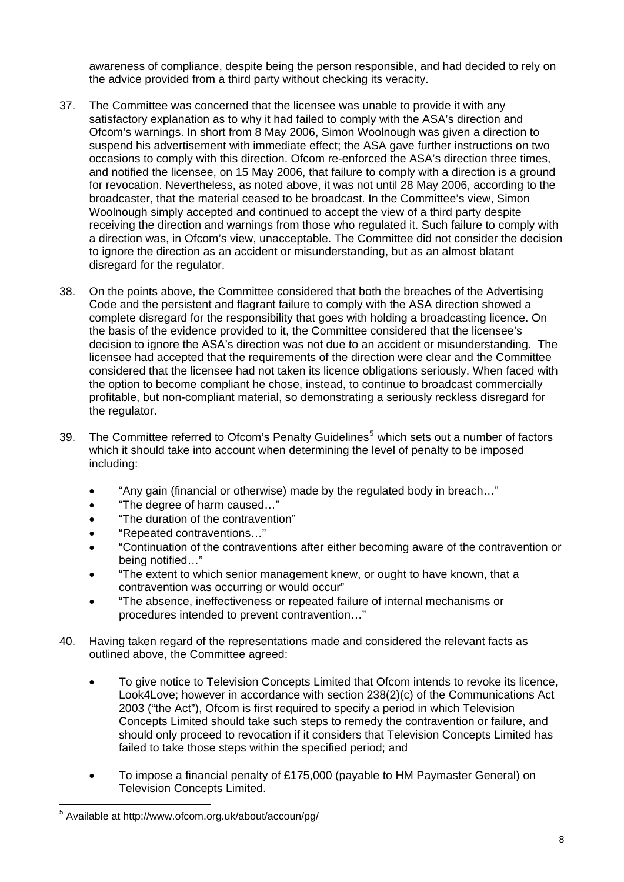awareness of compliance, despite being the person responsible, and had decided to rely on the advice provided from a third party without checking its veracity.

- 37. The Committee was concerned that the licensee was unable to provide it with any satisfactory explanation as to why it had failed to comply with the ASA's direction and Ofcom's warnings. In short from 8 May 2006, Simon Woolnough was given a direction to suspend his advertisement with immediate effect; the ASA gave further instructions on two occasions to comply with this direction. Ofcom re-enforced the ASA's direction three times, and notified the licensee, on 15 May 2006, that failure to comply with a direction is a ground for revocation. Nevertheless, as noted above, it was not until 28 May 2006, according to the broadcaster, that the material ceased to be broadcast. In the Committee's view, Simon Woolnough simply accepted and continued to accept the view of a third party despite receiving the direction and warnings from those who regulated it. Such failure to comply with a direction was, in Ofcom's view, unacceptable. The Committee did not consider the decision to ignore the direction as an accident or misunderstanding, but as an almost blatant disregard for the regulator.
- 38. On the points above, the Committee considered that both the breaches of the Advertising Code and the persistent and flagrant failure to comply with the ASA direction showed a complete disregard for the responsibility that goes with holding a broadcasting licence. On the basis of the evidence provided to it, the Committee considered that the licensee's decision to ignore the ASA's direction was not due to an accident or misunderstanding. The licensee had accepted that the requirements of the direction were clear and the Committee considered that the licensee had not taken its licence obligations seriously. When faced with the option to become compliant he chose, instead, to continue to broadcast commercially profitable, but non-compliant material, so demonstrating a seriously reckless disregard for the regulator.
- 39. The Committee referred to Ofcom's Penalty Guidelines<sup>[5](#page-7-0)</sup> which sets out a number of factors which it should take into account when determining the level of penalty to be imposed including:
	- "Any gain (financial or otherwise) made by the regulated body in breach…"
	- "The degree of harm caused…"
	- "The duration of the contravention"
	- "Repeated contraventions…"
	- "Continuation of the contraventions after either becoming aware of the contravention or being notified…"
	- "The extent to which senior management knew, or ought to have known, that a contravention was occurring or would occur"
	- "The absence, ineffectiveness or repeated failure of internal mechanisms or procedures intended to prevent contravention…"
- 40. Having taken regard of the representations made and considered the relevant facts as outlined above, the Committee agreed:
	- To give notice to Television Concepts Limited that Ofcom intends to revoke its licence, Look4Love; however in accordance with section 238(2)(c) of the Communications Act 2003 ("the Act"), Ofcom is first required to specify a period in which Television Concepts Limited should take such steps to remedy the contravention or failure, and should only proceed to revocation if it considers that Television Concepts Limited has failed to take those steps within the specified period; and
	- To impose a financial penalty of £175,000 (payable to HM Paymaster General) on Television Concepts Limited.

<span id="page-7-0"></span> 5 Available at http://www.ofcom.org.uk/about/accoun/pg/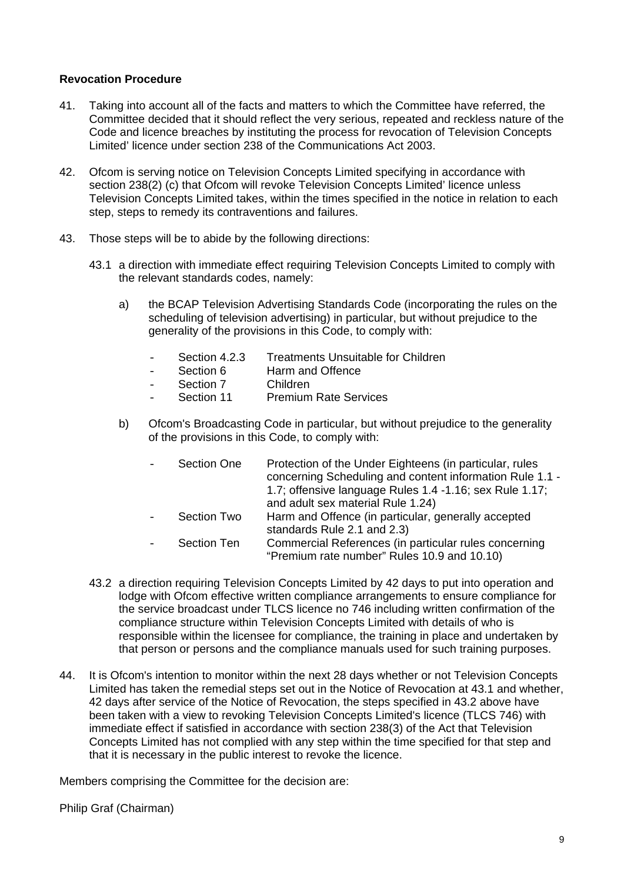## **Revocation Procedure**

- 41. Taking into account all of the facts and matters to which the Committee have referred, the Committee decided that it should reflect the very serious, repeated and reckless nature of the Code and licence breaches by instituting the process for revocation of Television Concepts Limited' licence under section 238 of the Communications Act 2003.
- 42. Ofcom is serving notice on Television Concepts Limited specifying in accordance with section 238(2) (c) that Ofcom will revoke Television Concepts Limited' licence unless Television Concepts Limited takes, within the times specified in the notice in relation to each step, steps to remedy its contraventions and failures.
- 43. Those steps will be to abide by the following directions:
	- 43.1 a direction with immediate effect requiring Television Concepts Limited to comply with the relevant standards codes, namely:
		- a) the BCAP Television Advertising Standards Code (incorporating the rules on the scheduling of television advertising) in particular, but without prejudice to the generality of the provisions in this Code, to comply with:
			- Section 4.2.3 Treatments Unsuitable for Children
			- Section 6 Harm and Offence<br>- Section 7 Children
			- Section 7<br>- Section 11
			- **Premium Rate Services**
		- b) Ofcom's Broadcasting Code in particular, but without prejudice to the generality of the provisions in this Code, to comply with:

| <b>Section One</b> | Protection of the Under Eighteens (in particular, rules<br>concerning Scheduling and content information Rule 1.1 -<br>1.7; offensive language Rules 1.4 -1.16; sex Rule 1.17; |
|--------------------|--------------------------------------------------------------------------------------------------------------------------------------------------------------------------------|
|                    | and adult sex material Rule 1.24)                                                                                                                                              |
| Section Two        | Harm and Offence (in particular, generally accepted<br>standards Rule 2.1 and 2.3)                                                                                             |
| <b>Section Ten</b> | Commercial References (in particular rules concerning<br>"Premium rate number" Rules 10.9 and 10.10)                                                                           |

- 43.2 a direction requiring Television Concepts Limited by 42 days to put into operation and lodge with Ofcom effective written compliance arrangements to ensure compliance for the service broadcast under TLCS licence no 746 including written confirmation of the compliance structure within Television Concepts Limited with details of who is responsible within the licensee for compliance, the training in place and undertaken by that person or persons and the compliance manuals used for such training purposes.
- 44. It is Ofcom's intention to monitor within the next 28 days whether or not Television Concepts Limited has taken the remedial steps set out in the Notice of Revocation at 43.1 and whether, 42 days after service of the Notice of Revocation, the steps specified in 43.2 above have been taken with a view to revoking Television Concepts Limited's licence (TLCS 746) with immediate effect if satisfied in accordance with section 238(3) of the Act that Television Concepts Limited has not complied with any step within the time specified for that step and that it is necessary in the public interest to revoke the licence.

Members comprising the Committee for the decision are:

Philip Graf (Chairman)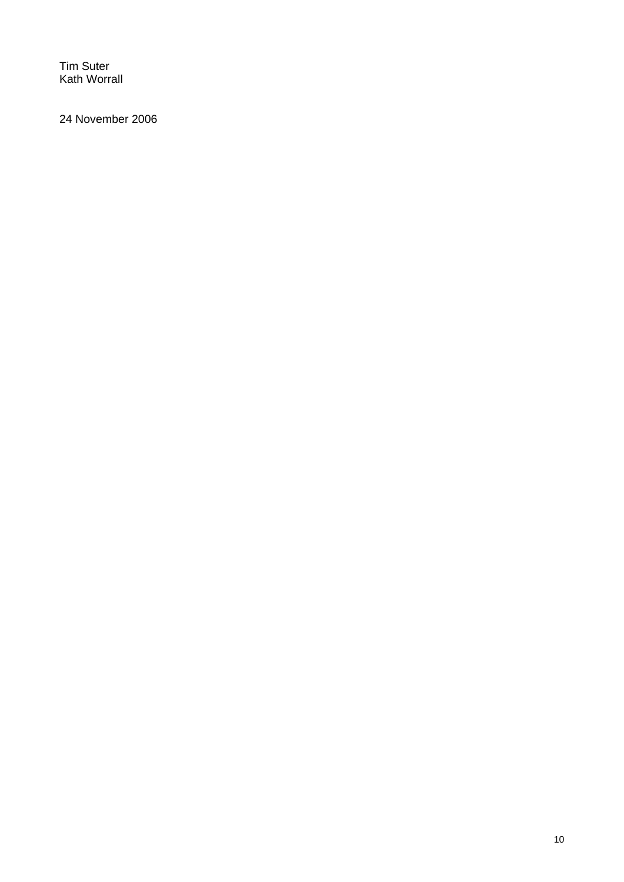Tim Suter Kath Worrall

24 November 2006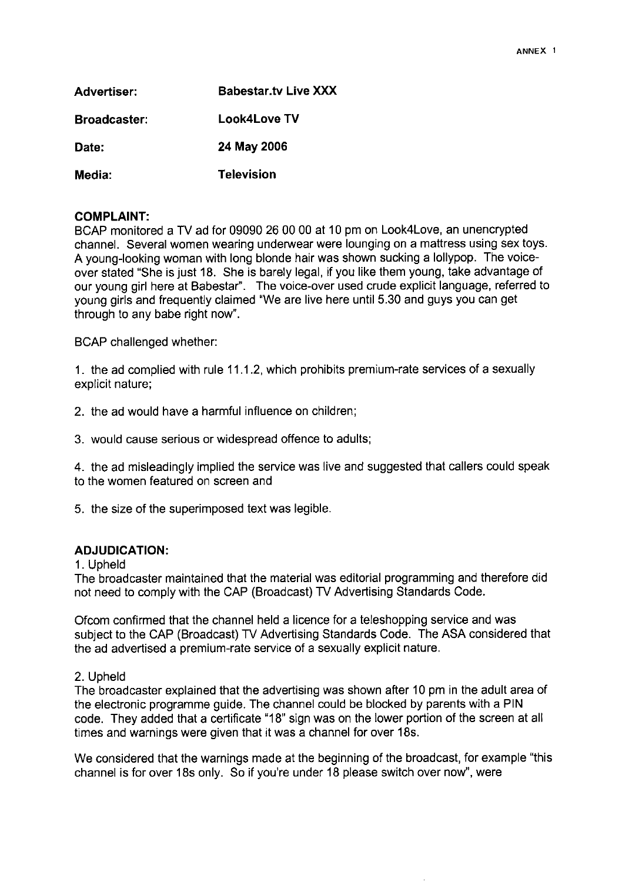| Advertiser:         | <b>Babestar.tv Live XXX</b> |
|---------------------|-----------------------------|
| <b>Broadcaster:</b> | Look4Love TV                |
| Date:               | 24 May 2006                 |
| Media:              | <b>Television</b>           |

### **COMPLAINT:**

BCAP monitored a TV ad for 09090 26 00 00 at 10 pm on Look4Love, an unencrypted channel. Several women wearing underwear were lounging on a mattress using sex toys. A young-looking woman with long blonde hair was shown sucking a lollypop. The voiceover stated "She is just 18. She is barely legal, if you like them young, take advantage of our young girl here at Babestar". The voice-over used crude explicit language, referred to young girls and frequently claimed "We are live here until 5.30 and guys you can get through to any babe right now".

**BCAP** challenged whether:

1. the ad complied with rule 11.1.2, which prohibits premium-rate services of a sexually explicit nature;

2. the ad would have a harmful influence on children;

3. would cause serious or widespread offence to adults;

4. the ad misleadingly implied the service was live and suggested that callers could speak to the women featured on screen and

5. the size of the superimposed text was legible.

# **ADJUDICATION:**

1. Upheld

The broadcaster maintained that the material was editorial programming and therefore did not need to comply with the CAP (Broadcast) TV Advertising Standards Code.

Ofcom confirmed that the channel held a licence for a teleshopping service and was subject to the CAP (Broadcast) TV Advertising Standards Code. The ASA considered that the ad advertised a premium-rate service of a sexually explicit nature.

#### 2. Upheld

The broadcaster explained that the advertising was shown after 10 pm in the adult area of the electronic programme guide. The channel could be blocked by parents with a PIN code. They added that a certificate "18" sign was on the lower portion of the screen at all times and warnings were given that it was a channel for over 18s.

We considered that the warnings made at the beginning of the broadcast, for example "this channel is for over 18s only. So if you're under 18 please switch over now", were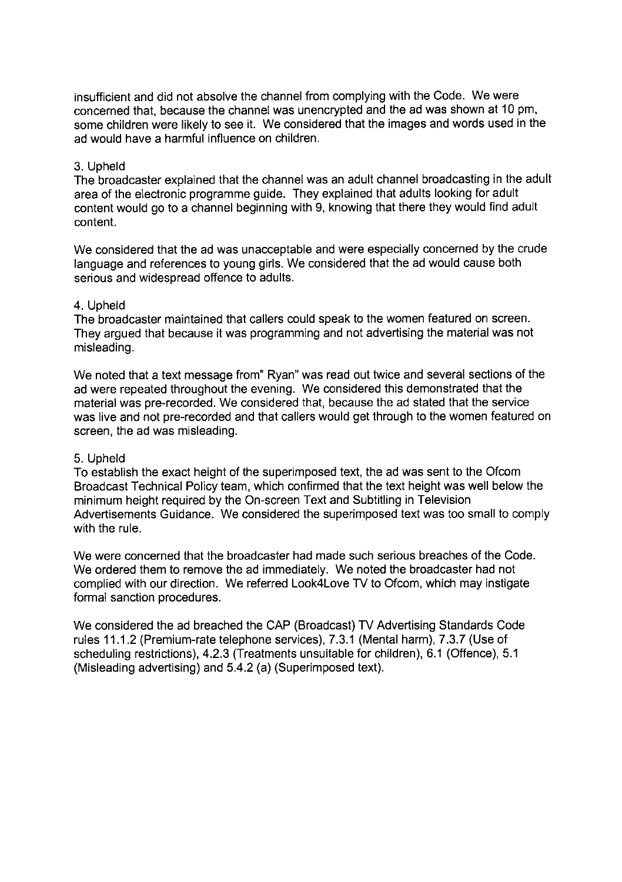insufficient and did not absolve the channel from complying with the Code. We were concerned that, because the channel was unencrypted and the ad was shown at 10 pm, some children were likely to see it. We considered that the images and words used in the ad would have a harmful influence on children.

# 3. Upheld

The broadcaster explained that the channel was an adult channel broadcasting in the adult area of the electronic programme guide. They explained that adults looking for adult content would go to a channel beginning with 9, knowing that there they would find adult content.

We considered that the ad was unacceptable and were especially concerned by the crude language and references to young girls. We considered that the ad would cause both serious and widespread offence to adults.

# 4. Upheld

The broadcaster maintained that callers could speak to the women featured on screen. They argued that because it was programming and not advertising the material was not misleading.

We noted that a text message from" Ryan" was read out twice and several sections of the ad were repeated throughout the evening. We considered this demonstrated that the material was pre-recorded. We considered that, because the ad stated that the service was live and not pre-recorded and that callers would get through to the women featured on screen, the ad was misleading.

# 5. Upheld

To establish the exact height of the superimposed text, the ad was sent to the Ofcom Broadcast Technical Policy team, which confirmed that the text height was well below the minimum height required by the On-screen Text and Subtitling in Television Advertisements Guidance. We considered the superimposed text was too small to comply with the rule.

We were concerned that the broadcaster had made such serious breaches of the Code. We ordered them to remove the ad immediately. We noted the broadcaster had not complied with our direction. We referred Look4Love TV to Ofcom, which may instigate formal sanction procedures.

We considered the ad breached the CAP (Broadcast) TV Advertising Standards Code rules 11.1.2 (Premium-rate telephone services), 7.3.1 (Mental harm), 7.3.7 (Use of scheduling restrictions), 4.2.3 (Treatments unsuitable for children), 6.1 (Offence), 5.1 (Misleading advertising) and 5.4.2 (a) (Superimposed text).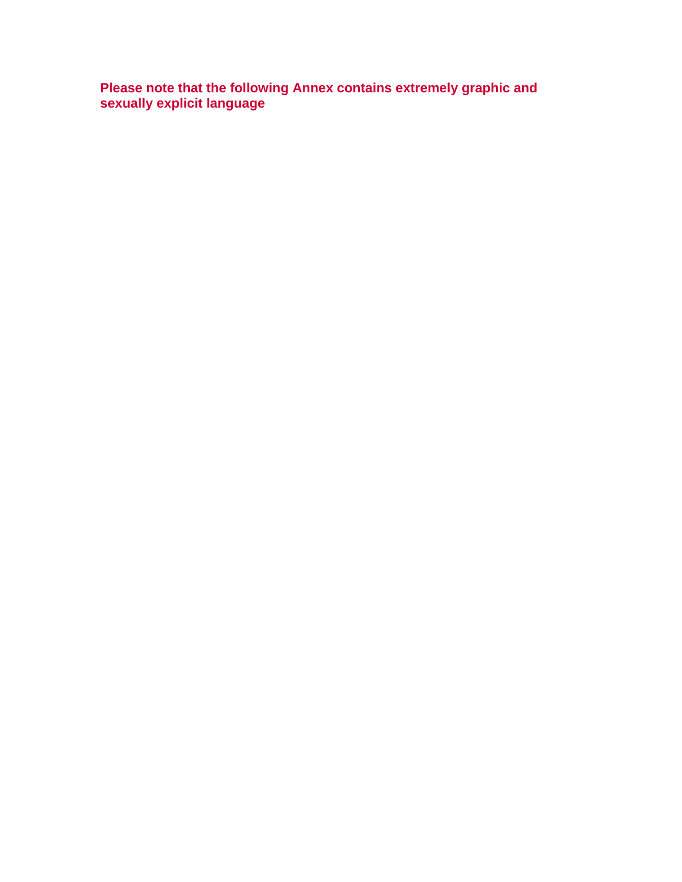**Please note that the following Annex contains extremely graphic and sexually explicit language**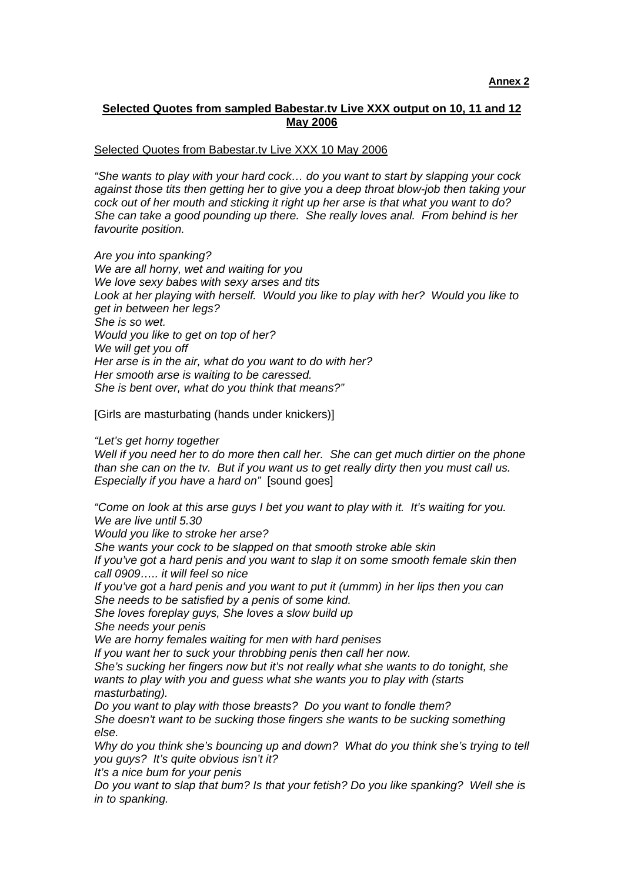## **Selected Quotes from sampled Babestar.tv Live XXX output on 10, 11 and 12 May 2006**

#### Selected Quotes from Babestar.tv Live XXX 10 May 2006

*"She wants to play with your hard cock… do you want to start by slapping your cock against those tits then getting her to give you a deep throat blow-job then taking your cock out of her mouth and sticking it right up her arse is that what you want to do? She can take a good pounding up there. She really loves anal. From behind is her favourite position.* 

*Are you into spanking? We are all horny, wet and waiting for you We love sexy babes with sexy arses and tits Look at her playing with herself. Would you like to play with her? Would you like to get in between her legs? She is so wet. Would you like to get on top of her? We will get you off Her arse is in the air, what do you want to do with her? Her smooth arse is waiting to be caressed. She is bent over, what do you think that means?"* 

[Girls are masturbating (hands under knickers)]

*"Let's get horny together* 

*Well if you need her to do more then call her. She can get much dirtier on the phone than she can on the tv. But if you want us to get really dirty then you must call us. Especially if you have a hard on"* [sound goes]

*"Come on look at this arse guys I bet you want to play with it. It's waiting for you. We are live until 5.30* 

*Would you like to stroke her arse?* 

*She wants your cock to be slapped on that smooth stroke able skin* 

*If you've got a hard penis and you want to slap it on some smooth female skin then call 0909….. it will feel so nice* 

*If you've got a hard penis and you want to put it (ummm) in her lips then you can She needs to be satisfied by a penis of some kind.* 

*She loves foreplay guys, She loves a slow build up* 

*She needs your penis* 

*We are horny females waiting for men with hard penises* 

*If you want her to suck your throbbing penis then call her now.* 

*She's sucking her fingers now but it's not really what she wants to do tonight, she wants to play with you and guess what she wants you to play with (starts masturbating).* 

*Do you want to play with those breasts? Do you want to fondle them? She doesn't want to be sucking those fingers she wants to be sucking something else.* 

*Why do you think she's bouncing up and down? What do you think she's trying to tell you guys? It's quite obvious isn't it?* 

*It's a nice bum for your penis* 

*Do you want to slap that bum? Is that your fetish? Do you like spanking? Well she is in to spanking.*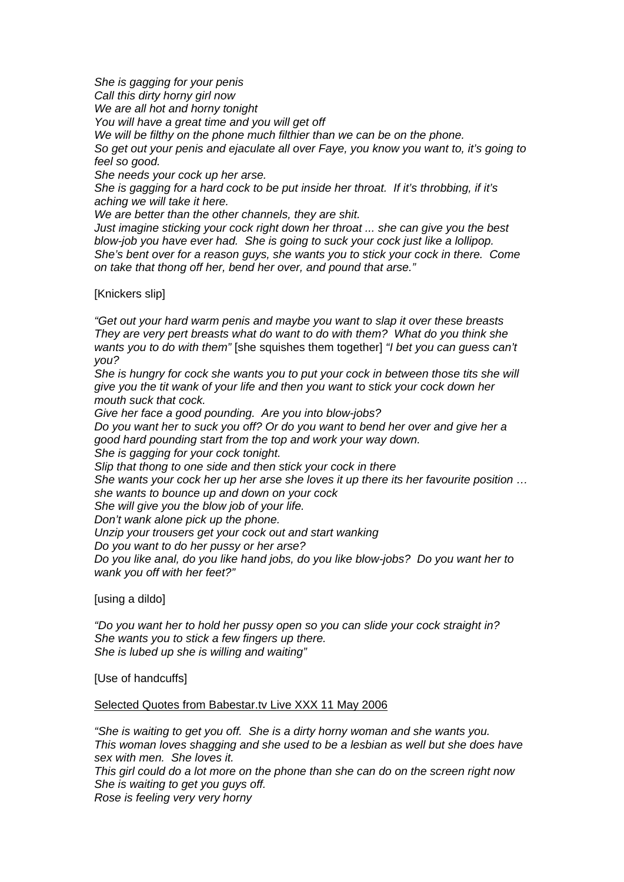*She is gagging for your penis Call this dirty horny girl now We are all hot and horny tonight You will have a great time and you will get off We will be filthy on the phone much filthier than we can be on the phone. So get out your penis and ejaculate all over Faye, you know you want to, it's going to feel so good. She needs your cock up her arse. She is gagging for a hard cock to be put inside her throat. If it's throbbing, if it's aching we will take it here.* 

*We are better than the other channels, they are shit.* 

*Just imagine sticking your cock right down her throat ... she can give you the best blow-job you have ever had. She is going to suck your cock just like a lollipop. She's bent over for a reason guys, she wants you to stick your cock in there. Come on take that thong off her, bend her over, and pound that arse."* 

### [Knickers slip]

*"Get out your hard warm penis and maybe you want to slap it over these breasts They are very pert breasts what do want to do with them? What do you think she wants you to do with them"* [she squishes them together] *"I bet you can guess can't you?* 

*She is hungry for cock she wants you to put your cock in between those tits she will give you the tit wank of your life and then you want to stick your cock down her mouth suck that cock.* 

*Give her face a good pounding. Are you into blow-jobs?* 

*Do you want her to suck you off? Or do you want to bend her over and give her a good hard pounding start from the top and work your way down.* 

*She is gagging for your cock tonight.* 

*Slip that thong to one side and then stick your cock in there* 

*She wants your cock her up her arse she loves it up there its her favourite position … she wants to bounce up and down on your cock* 

*She will give you the blow job of your life.* 

*Don't wank alone pick up the phone.* 

*Unzip your trousers get your cock out and start wanking* 

*Do you want to do her pussy or her arse?* 

*Do you like anal, do you like hand jobs, do you like blow-jobs? Do you want her to wank you off with her feet?"* 

[using a dildo]

*"Do you want her to hold her pussy open so you can slide your cock straight in? She wants you to stick a few fingers up there. She is lubed up she is willing and waiting"* 

[Use of handcuffs]

#### Selected Quotes from Babestar.tv Live XXX 11 May 2006

*"She is waiting to get you off. She is a dirty horny woman and she wants you. This woman loves shagging and she used to be a lesbian as well but she does have sex with men. She loves it. This girl could do a lot more on the phone than she can do on the screen right now She is waiting to get you guys off.* 

*Rose is feeling very very horny*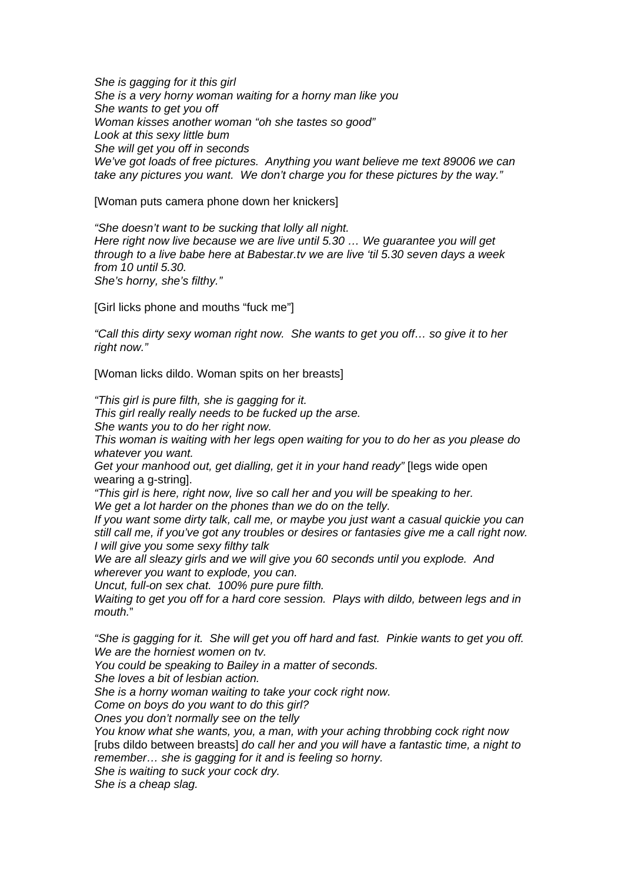*She is gagging for it this girl She is a very horny woman waiting for a horny man like you She wants to get you off Woman kisses another woman "oh she tastes so good" Look at this sexy little bum She will get you off in seconds We've got loads of free pictures. Anything you want believe me text 89006 we can take any pictures you want. We don't charge you for these pictures by the way."* 

[Woman puts camera phone down her knickers]

*"She doesn't want to be sucking that lolly all night. Here right now live because we are live until 5.30 … We guarantee you will get through to a live babe here at Babestar.tv we are live 'til 5.30 seven days a week from 10 until 5.30. She's horny, she's filthy."* 

[Girl licks phone and mouths "fuck me"]

*"Call this dirty sexy woman right now. She wants to get you off… so give it to her right now."* 

[Woman licks dildo. Woman spits on her breasts]

*"This girl is pure filth, she is gagging for it.* 

*This girl really really needs to be fucked up the arse.* 

*She wants you to do her right now.* 

*This woman is waiting with her legs open waiting for you to do her as you please do whatever you want.* 

*Get your manhood out, get dialling, get it in your hand ready"* [legs wide open wearing a g-string].

*"This girl is here, right now, live so call her and you will be speaking to her. We get a lot harder on the phones than we do on the telly.* 

*If you want some dirty talk, call me, or maybe you just want a casual quickie you can still call me, if you've got any troubles or desires or fantasies give me a call right now. I will give you some sexy filthy talk* 

*We are all sleazy girls and we will give you 60 seconds until you explode. And wherever you want to explode, you can.* 

*Uncut, full-on sex chat. 100% pure pure filth.* 

*Waiting to get you off for a hard core session. Plays with dildo, between legs and in mouth.*"

*"She is gagging for it. She will get you off hard and fast. Pinkie wants to get you off. We are the horniest women on tv.* 

*You could be speaking to Bailey in a matter of seconds.* 

*She loves a bit of lesbian action.* 

*She is a horny woman waiting to take your cock right now.* 

*Come on boys do you want to do this girl?* 

*Ones you don't normally see on the telly* 

*You know what she wants, you, a man, with your aching throbbing cock right now*  [rubs dildo between breasts] *do call her and you will have a fantastic time, a night to remember… she is gagging for it and is feeling so horny.* 

*She is waiting to suck your cock dry.* 

*She is a cheap slag.*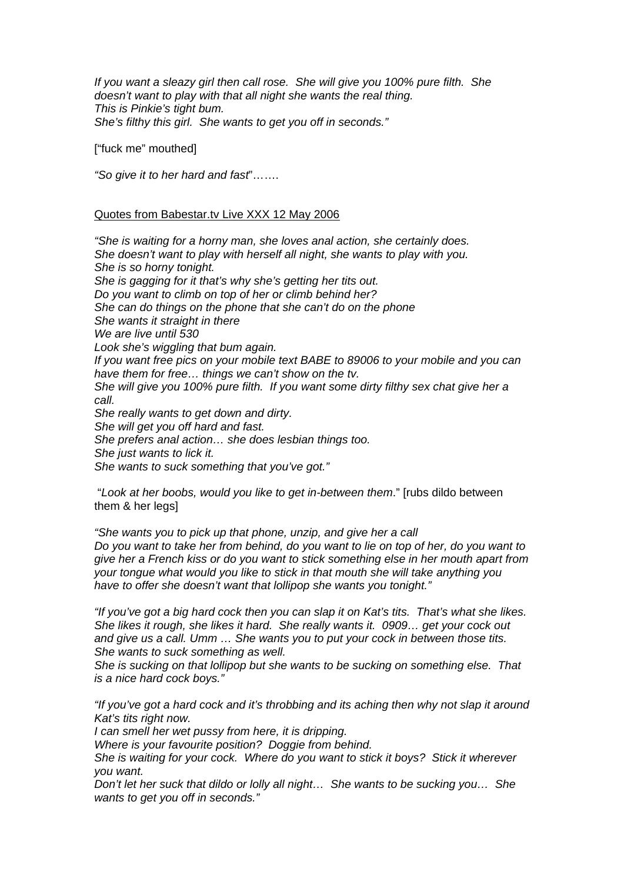*If you want a sleazy girl then call rose. She will give you 100% pure filth. She doesn't want to play with that all night she wants the real thing. This is Pinkie's tight bum. She's filthy this girl. She wants to get you off in seconds."* 

["fuck me" mouthed]

*"So give it to her hard and fast*"…….

#### Quotes from Babestar.tv Live XXX 12 May 2006

*"She is waiting for a horny man, she loves anal action, she certainly does. She doesn't want to play with herself all night, she wants to play with you. She is so horny tonight. She is gagging for it that's why she's getting her tits out. Do you want to climb on top of her or climb behind her? She can do things on the phone that she can't do on the phone She wants it straight in there We are live until 530 Look she's wiggling that bum again. If you want free pics on your mobile text BABE to 89006 to your mobile and you can have them for free… things we can't show on the tv. She will give you 100% pure filth. If you want some dirty filthy sex chat give her a call. She really wants to get down and dirty. She will get you off hard and fast. She prefers anal action… she does lesbian things too. She just wants to lick it. She wants to suck something that you've got."* 

 "*Look at her boobs, would you like to get in-between them*." [rubs dildo between them & her legs]

*"She wants you to pick up that phone, unzip, and give her a call Do you want to take her from behind, do you want to lie on top of her, do you want to give her a French kiss or do you want to stick something else in her mouth apart from your tongue what would you like to stick in that mouth she will take anything you have to offer she doesn't want that lollipop she wants you tonight."* 

*"If you've got a big hard cock then you can slap it on Kat's tits. That's what she likes. She likes it rough, she likes it hard. She really wants it. 0909… get your cock out and give us a call. Umm … She wants you to put your cock in between those tits. She wants to suck something as well.* 

*She is sucking on that lollipop but she wants to be sucking on something else. That is a nice hard cock boys."* 

*"If you've got a hard cock and it's throbbing and its aching then why not slap it around Kat's tits right now.* 

*I can smell her wet pussy from here, it is dripping.* 

*Where is your favourite position? Doggie from behind.* 

*She is waiting for your cock. Where do you want to stick it boys? Stick it wherever you want.* 

*Don't let her suck that dildo or lolly all night… She wants to be sucking you… She wants to get you off in seconds."*